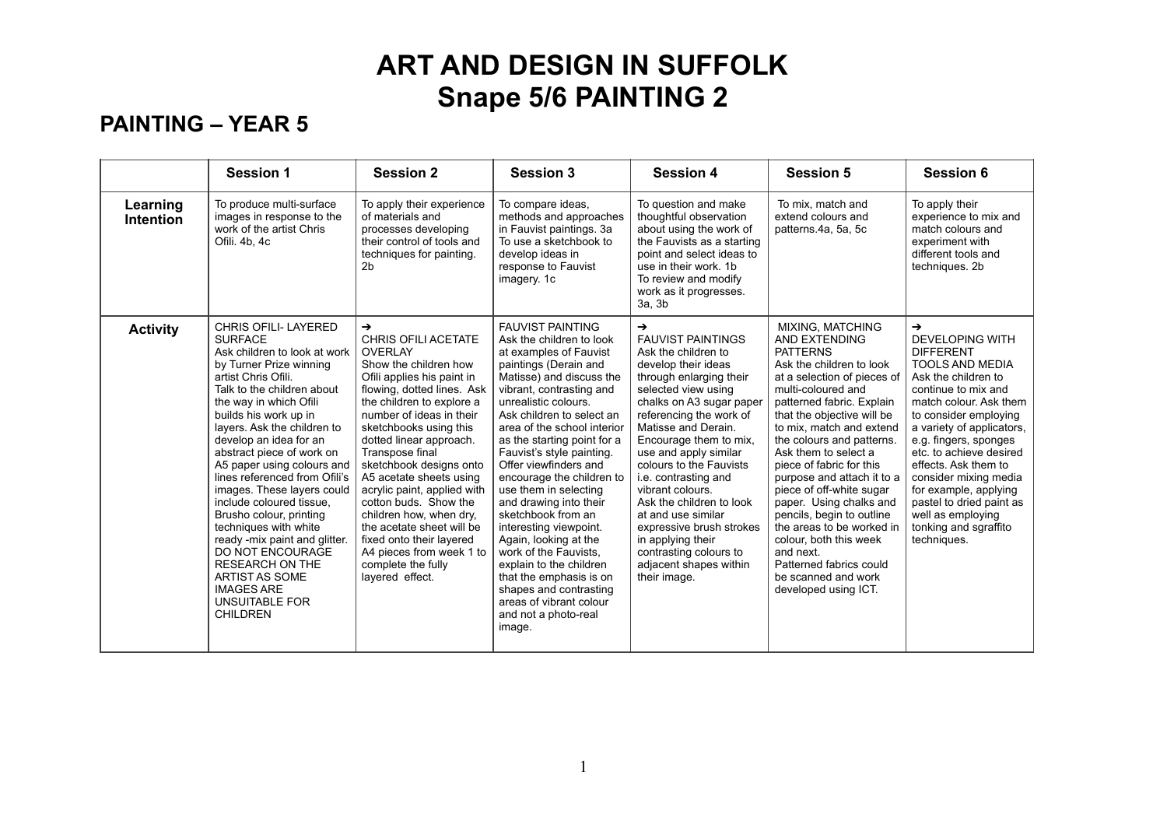### **PAINTING – YEAR 5**

|                       | <b>Session 1</b>                                                                                                                                                                                                                                                                                                                                                                                                                                                                                                                                                                                                                                             | <b>Session 2</b>                                                                                                                                                                                                                                                                                                                                                                                                                                                                                                                                           | <b>Session 3</b>                                                                                                                                                                                                                                                                                                                                                                                                                                                                                                                                                                                                                                                       | <b>Session 4</b>                                                                                                                                                                                                                                                                                                                                                                                                                                                                                                         | <b>Session 5</b>                                                                                                                                                                                                                                                                                                                                                                                                                                                                                                                                                                     | <b>Session 6</b>                                                                                                                                                                                                                                                                                                                                                                                                                           |
|-----------------------|--------------------------------------------------------------------------------------------------------------------------------------------------------------------------------------------------------------------------------------------------------------------------------------------------------------------------------------------------------------------------------------------------------------------------------------------------------------------------------------------------------------------------------------------------------------------------------------------------------------------------------------------------------------|------------------------------------------------------------------------------------------------------------------------------------------------------------------------------------------------------------------------------------------------------------------------------------------------------------------------------------------------------------------------------------------------------------------------------------------------------------------------------------------------------------------------------------------------------------|------------------------------------------------------------------------------------------------------------------------------------------------------------------------------------------------------------------------------------------------------------------------------------------------------------------------------------------------------------------------------------------------------------------------------------------------------------------------------------------------------------------------------------------------------------------------------------------------------------------------------------------------------------------------|--------------------------------------------------------------------------------------------------------------------------------------------------------------------------------------------------------------------------------------------------------------------------------------------------------------------------------------------------------------------------------------------------------------------------------------------------------------------------------------------------------------------------|--------------------------------------------------------------------------------------------------------------------------------------------------------------------------------------------------------------------------------------------------------------------------------------------------------------------------------------------------------------------------------------------------------------------------------------------------------------------------------------------------------------------------------------------------------------------------------------|--------------------------------------------------------------------------------------------------------------------------------------------------------------------------------------------------------------------------------------------------------------------------------------------------------------------------------------------------------------------------------------------------------------------------------------------|
| Learning<br>Intention | To produce multi-surface<br>images in response to the<br>work of the artist Chris<br>Ofili, 4b, 4c                                                                                                                                                                                                                                                                                                                                                                                                                                                                                                                                                           | To apply their experience<br>of materials and<br>processes developing<br>their control of tools and<br>techniques for painting.<br>2 <sub>b</sub>                                                                                                                                                                                                                                                                                                                                                                                                          | To compare ideas,<br>methods and approaches<br>in Fauvist paintings. 3a<br>To use a sketchbook to<br>develop ideas in<br>response to Fauvist<br>imagery. 1c                                                                                                                                                                                                                                                                                                                                                                                                                                                                                                            | To question and make<br>thoughtful observation<br>about using the work of<br>the Fauvists as a starting<br>point and select ideas to<br>use in their work. 1b<br>To review and modify<br>work as it progresses.<br>3a, 3b                                                                                                                                                                                                                                                                                                | To mix, match and<br>extend colours and<br>patterns.4a, 5a, 5c                                                                                                                                                                                                                                                                                                                                                                                                                                                                                                                       | To apply their<br>experience to mix and<br>match colours and<br>experiment with<br>different tools and<br>techniques. 2b                                                                                                                                                                                                                                                                                                                   |
| <b>Activity</b>       | <b>CHRIS OFILI- LAYERED</b><br><b>SURFACE</b><br>Ask children to look at work<br>by Turner Prize winning<br>artist Chris Ofili.<br>Talk to the children about<br>the way in which Ofili<br>builds his work up in<br>layers. Ask the children to<br>develop an idea for an<br>abstract piece of work on<br>A5 paper using colours and<br>lines referenced from Ofili's<br>images. These layers could<br>include coloured tissue.<br>Brusho colour, printing<br>techniques with white<br>ready -mix paint and glitter.<br><b>DO NOT ENCOURAGE</b><br><b>RESEARCH ON THE</b><br><b>ARTIST AS SOME</b><br><b>IMAGES ARE</b><br>UNSUITABLE FOR<br><b>CHILDREN</b> | $\rightarrow$<br><b>CHRIS OFILI ACETATE</b><br><b>OVERLAY</b><br>Show the children how<br>Ofili applies his paint in<br>flowing, dotted lines. Ask<br>the children to explore a<br>number of ideas in their<br>sketchbooks using this<br>dotted linear approach.<br>Transpose final<br>sketchbook designs onto<br>A5 acetate sheets using<br>acrylic paint, applied with<br>cotton buds. Show the<br>children how, when dry,<br>the acetate sheet will be<br>fixed onto their layered<br>A4 pieces from week 1 to<br>complete the fully<br>layered effect. | <b>FAUVIST PAINTING</b><br>Ask the children to look<br>at examples of Fauvist<br>paintings (Derain and<br>Matisse) and discuss the<br>vibrant, contrasting and<br>unrealistic colours.<br>Ask children to select an<br>area of the school interior<br>as the starting point for a<br>Fauvist's style painting.<br>Offer viewfinders and<br>encourage the children to<br>use them in selecting<br>and drawing into their<br>sketchbook from an<br>interesting viewpoint.<br>Again, looking at the<br>work of the Fauvists,<br>explain to the children<br>that the emphasis is on<br>shapes and contrasting<br>areas of vibrant colour<br>and not a photo-real<br>image. | $\rightarrow$<br><b>FAUVIST PAINTINGS</b><br>Ask the children to<br>develop their ideas<br>through enlarging their<br>selected view using<br>chalks on A3 sugar paper<br>referencing the work of<br>Matisse and Derain.<br>Encourage them to mix,<br>use and apply similar<br>colours to the Fauvists<br>i.e. contrasting and<br>vibrant colours.<br>Ask the children to look<br>at and use similar<br>expressive brush strokes<br>in applying their<br>contrasting colours to<br>adjacent shapes within<br>their image. | MIXING, MATCHING<br><b>AND EXTENDING</b><br><b>PATTERNS</b><br>Ask the children to look<br>at a selection of pieces of<br>multi-coloured and<br>patterned fabric. Explain<br>that the objective will be<br>to mix, match and extend<br>the colours and patterns.<br>Ask them to select a<br>piece of fabric for this<br>purpose and attach it to a<br>piece of off-white sugar<br>paper. Using chalks and<br>pencils, begin to outline<br>the areas to be worked in<br>colour, both this week<br>and next.<br>Patterned fabrics could<br>be scanned and work<br>developed using ICT. | $\rightarrow$<br><b>DEVELOPING WITH</b><br><b>DIFFERENT</b><br><b>TOOLS AND MEDIA</b><br>Ask the children to<br>continue to mix and<br>match colour. Ask them<br>to consider employing<br>a variety of applicators,<br>e.g. fingers, sponges<br>etc. to achieve desired<br>effects. Ask them to<br>consider mixing media<br>for example, applying<br>pastel to dried paint as<br>well as employing<br>tonking and sgraffito<br>techniques. |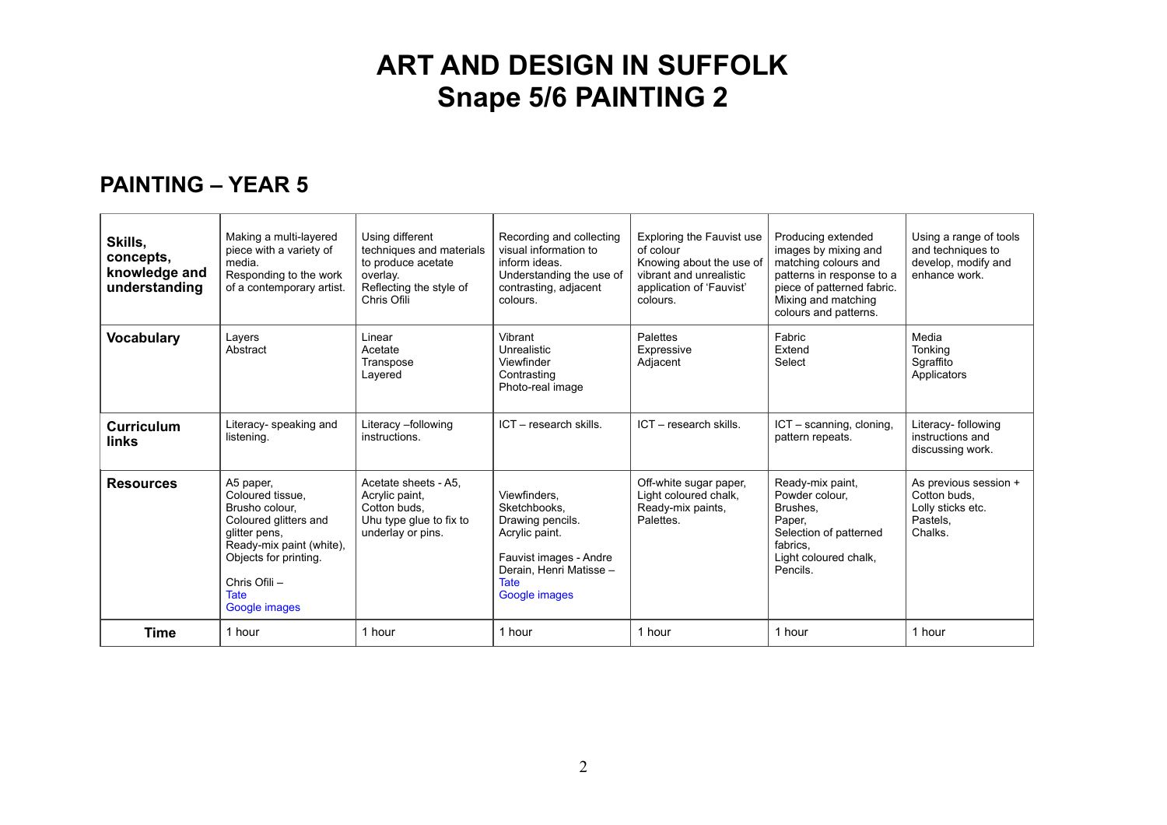#### **PAINTING – YEAR 5**

| Skills,<br>concepts,<br>knowledge and<br>understanding | Making a multi-layered<br>piece with a variety of<br>media.<br>Responding to the work<br>of a contemporary artist.                                                                              | Using different<br>techniques and materials<br>to produce acetate<br>overlay.<br>Reflecting the style of<br>Chris Ofili | Recording and collecting<br>visual information to<br>inform ideas.<br>Understanding the use of<br>contrasting, adjacent<br>colours.                     | <b>Exploring the Fauvist use</b><br>of colour<br>Knowing about the use of<br>vibrant and unrealistic<br>application of 'Fauvist'<br>colours. | Producing extended<br>images by mixing and<br>matching colours and<br>patterns in response to a<br>piece of patterned fabric.<br>Mixing and matching<br>colours and patterns. | Using a range of tools<br>and techniques to<br>develop, modify and<br>enhance work. |
|--------------------------------------------------------|-------------------------------------------------------------------------------------------------------------------------------------------------------------------------------------------------|-------------------------------------------------------------------------------------------------------------------------|---------------------------------------------------------------------------------------------------------------------------------------------------------|----------------------------------------------------------------------------------------------------------------------------------------------|-------------------------------------------------------------------------------------------------------------------------------------------------------------------------------|-------------------------------------------------------------------------------------|
| <b>Vocabulary</b>                                      | Layers<br>Abstract                                                                                                                                                                              | Linear<br>Acetate<br>Transpose<br>Lavered                                                                               | Vibrant<br>Unrealistic<br>Viewfinder<br>Contrasting<br>Photo-real image                                                                                 | Palettes<br>Expressive<br>Adjacent                                                                                                           | Fabric<br>Extend<br>Select                                                                                                                                                    | Media<br>Tonking<br>Sgraffito<br>Applicators                                        |
| <b>Curriculum</b><br>links                             | Literacy- speaking and<br>listening.                                                                                                                                                            | Literacy -following<br>instructions.                                                                                    | ICT - research skills.                                                                                                                                  | ICT - research skills.                                                                                                                       | ICT - scanning, cloning,<br>pattern repeats.                                                                                                                                  | Literacy- following<br>instructions and<br>discussing work.                         |
| <b>Resources</b>                                       | A5 paper,<br>Coloured tissue.<br>Brusho colour.<br>Coloured glitters and<br>glitter pens,<br>Ready-mix paint (white).<br>Objects for printing.<br>Chris Ofili -<br><b>Tate</b><br>Google images | Acetate sheets - A5.<br>Acrylic paint,<br>Cotton buds.<br>Uhu type glue to fix to<br>underlay or pins.                  | Viewfinders.<br>Sketchbooks.<br>Drawing pencils.<br>Acrylic paint.<br>Fauvist images - Andre<br>Derain. Henri Matisse -<br><b>Tate</b><br>Google images | Off-white sugar paper,<br>Light coloured chalk,<br>Ready-mix paints,<br>Palettes.                                                            | Ready-mix paint,<br>Powder colour,<br>Brushes.<br>Paper,<br>Selection of patterned<br>fabrics.<br>Light coloured chalk,<br>Pencils.                                           | As previous session +<br>Cotton buds,<br>Lolly sticks etc.<br>Pastels,<br>Chalks.   |
| <b>Time</b>                                            | 1 hour                                                                                                                                                                                          | 1 hour                                                                                                                  | 1 hour                                                                                                                                                  | 1 hour                                                                                                                                       | 1 hour                                                                                                                                                                        | 1 hour                                                                              |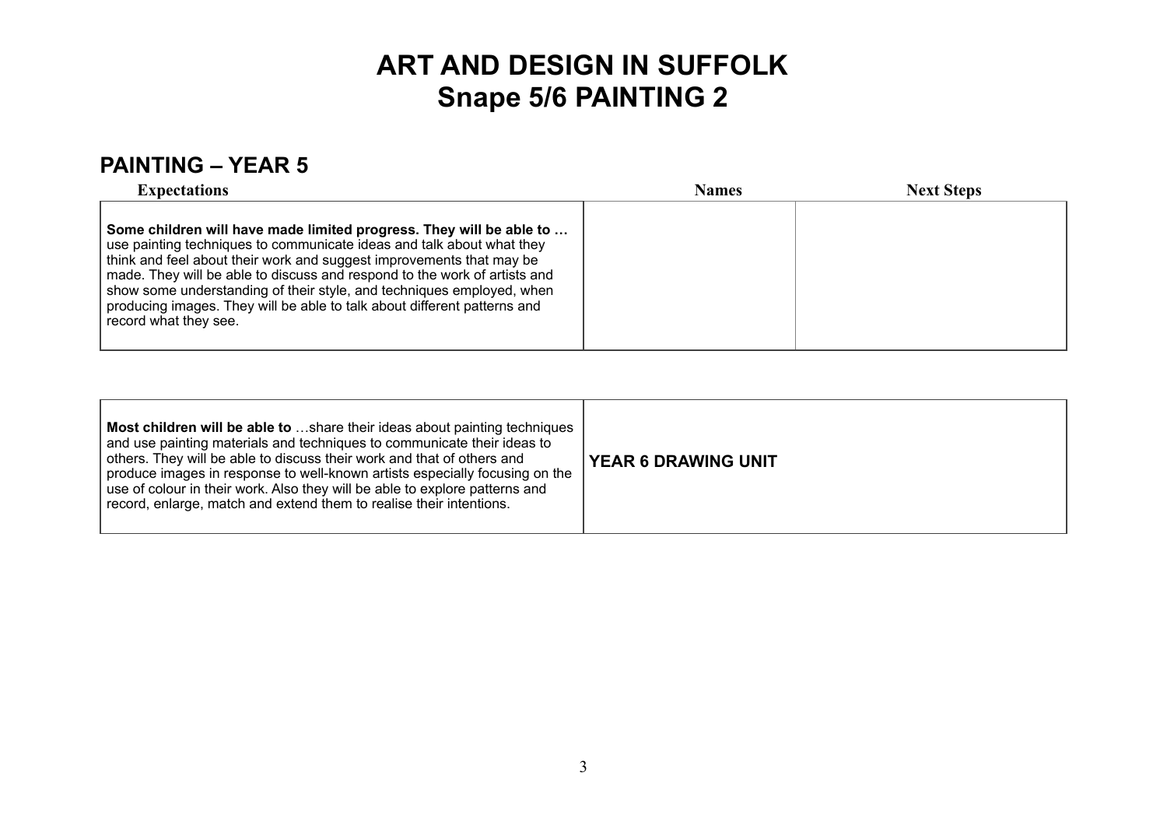### **PAINTING – YEAR 5**

| <b>Expectations</b>                                                                                                                                                                                                                                                                                                                                                                                                                                                             | <b>Names</b> | <b>Next Steps</b> |
|---------------------------------------------------------------------------------------------------------------------------------------------------------------------------------------------------------------------------------------------------------------------------------------------------------------------------------------------------------------------------------------------------------------------------------------------------------------------------------|--------------|-------------------|
| Some children will have made limited progress. They will be able to<br>use painting techniques to communicate ideas and talk about what they<br>think and feel about their work and suggest improvements that may be<br>made. They will be able to discuss and respond to the work of artists and<br>show some understanding of their style, and techniques employed, when<br>producing images. They will be able to talk about different patterns and<br>record what they see. |              |                   |

| Most children will be able to share their ideas about painting techniques<br>and use painting materials and techniques to communicate their ideas to<br>others. They will be able to discuss their work and that of others and<br>produce images in response to well-known artists especially focusing on the<br>use of colour in their work. Also they will be able to explore patterns and<br>record, enlarge, match and extend them to realise their intentions. | <b>YEAR 6 DRAWING UNIT</b> |
|---------------------------------------------------------------------------------------------------------------------------------------------------------------------------------------------------------------------------------------------------------------------------------------------------------------------------------------------------------------------------------------------------------------------------------------------------------------------|----------------------------|
|---------------------------------------------------------------------------------------------------------------------------------------------------------------------------------------------------------------------------------------------------------------------------------------------------------------------------------------------------------------------------------------------------------------------------------------------------------------------|----------------------------|